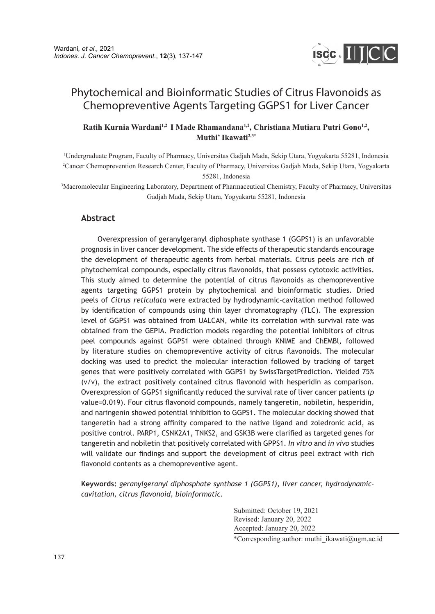

# Phytochemical and Bioinformatic Studies of Citrus Flavonoids as Chemopreventive Agents Targeting GGPS1 for Liver Cancer

## **Ratih Kurnia Wardani1,2 I Made Rhamandana1,2, Christiana Mutiara Putri Gono1,2, Muthi' Ikawati2,3\***

1 Undergraduate Program, Faculty of Pharmacy, Universitas Gadjah Mada, Sekip Utara, Yogyakarta 55281, Indonesia 2 Cancer Chemoprevention Research Center, Faculty of Pharmacy, Universitas Gadjah Mada, Sekip Utara, Yogyakarta 55281, Indonesia

3 Macromolecular Engineering Laboratory, Department of Pharmaceutical Chemistry, Faculty of Pharmacy, Universitas Gadjah Mada, Sekip Utara, Yogyakarta 55281, Indonesia

## **Abstract**

Overexpression of geranylgeranyl diphosphate synthase 1 (GGPS1) is an unfavorable prognosis in liver cancer development. The side effects of therapeutic standards encourage the development of therapeutic agents from herbal materials. Citrus peels are rich of phytochemical compounds, especially citrus flavonoids, that possess cytotoxic activities. This study aimed to determine the potential of citrus flavonoids as chemopreventive agents targeting GGPS1 protein by phytochemical and bioinformatic studies. Dried peels of *Citrus reticulata* were extracted by hydrodynamic-cavitation method followed by identification of compounds using thin layer chromatography (TLC). The expression level of GGPS1 was obtained from UALCAN, while its correlation with survival rate was obtained from the GEPIA. Prediction models regarding the potential inhibitors of citrus peel compounds against GGPS1 were obtained through KNIME and ChEMBl, followed by literature studies on chemopreventive activity of citrus flavonoids. The molecular docking was used to predict the molecular interaction followed by tracking of target genes that were positively correlated with GGPS1 by SwissTargetPrediction. Yielded 75% (v/v), the extract positively contained citrus flavonoid with hesperidin as comparison. Overexpression of GGPS1 significantly reduced the survival rate of liver cancer patients (*p*  value=0.019). Four citrus flavonoid compounds, namely tangeretin, nobiletin, hesperidin, and naringenin showed potential inhibition to GGPS1. The molecular docking showed that tangeretin had a strong affinity compared to the native ligand and zoledronic acid, as positive control. PARP1, CSNK2A1, TNKS2, and GSK3B were clarified as targeted genes for tangeretin and nobiletin that positively correlated with GPPS1. *In vitro* and *in vivo* studies will validate our findings and support the development of citrus peel extract with rich flavonoid contents as a chemopreventive agent.

**Keywords:** *geranylgeranyl diphosphate synthase 1 (GGPS1), liver cancer, hydrodynamiccavitation, citrus flavonoid, bioinformatic.*

> Submitted: October 19, 2021 Revised: January 20, 2022 Accepted: January 20, 2022

\*Corresponding author: muthi\_ikawati@ugm.ac.id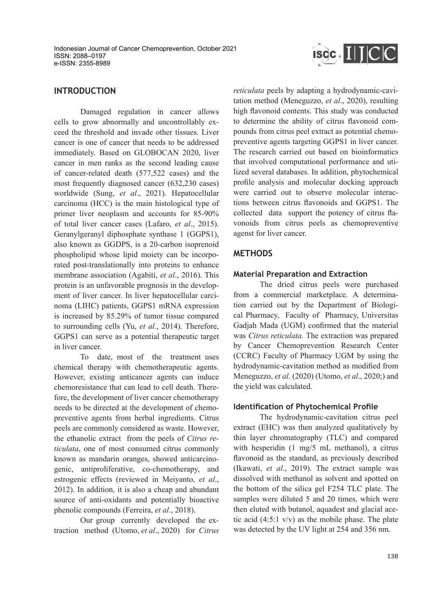

# **INTRODUCTION**

Damaged regulation in cancer allows cells to grow abnormally and uncontrollably exceed the threshold and invade other tissues. Liver cancer is one of cancer that needs to be addressed immediately. Based on GLOBOCAN 2020, liver cancer in men ranks as the second leading cause of cancer-related death (577,522 cases) and the most frequently diagnosed cancer (632,230 cases) worldwide (Sung, *et al*., 2021). Hepatocellular carcinoma (HCC) is the main histological type of primer liver neoplasm and accounts for 85-90% of total liver cancer cases (Lafaro, *et al*., 2015). Geranylgeranyl diphosphate synthase 1 (GGPS1), also known as GGDPS, is a 20-carbon isoprenoid phospholipid whose lipid moiety can be incorporated post-translationally into proteins to enhance membrane association (Agabiti, *et al*., 2016). This protein is an unfavorable prognosis in the development of liver cancer. In liver hepatocellular carcinoma (LIHC) patients, GGPS1 mRNA expression is increased by 85.29% of tumor tissue compared to surrounding cells (Yu, *et al.*, 2014). Therefore, GGPS1 can serve as a potential therapeutic target in liver cancer.

To date, most of the treatment uses chemical therapy with chemotherapeutic agents. However, existing anticancer agents can induce chemoresistance that can lead to cell death. Therefore, the development of liver cancer chemotherapy needs to be directed at the development of chemopreventive agents from herbal ingredients. Citrus peels are commonly considered as waste. However, the ethanolic extract from the peels of *Citrus reticulata*, one of most consumed citrus commonly known as mandarin oranges, showed anticarcinogenic, antiproliferative, co-chemotherapy, and estrogenic effects (reviewed in Meiyanto, *et al*., 2012). In addition, it is also a cheap and abundant source of anti-oxidants and potentially bioactive phenolic compounds (Ferreira, *et al*., 2018).

Our group currently developed the extraction method (Utomo, *et al*., 2020) for *Citrus*  *reticulata* peels by adapting a hydrodynamic-cavitation method (Meneguzzo, *et al*., 2020), resulting high flavonoid contents. This study was conducted to determine the ability of citrus flavonoid compounds from citrus peel extract as potential chemopreventive agents targeting GGPS1 in liver cancer. The research carried out based on bioinformatics that involved computational performance and utilized several databases. In addition, phytochemical profile analysis and molecular docking approach were carried out to observe molecular interactions between citrus flavonoids and GGPS1. The collected data support the potency of citrus flavonoids from citrus peels as chemopreventive agenst for liver cancer.

# **METHODS**

#### **Material Preparation and Extraction**

The dried citrus peels were purchased from a commercial marketplace. A determination carried out by the Department of Biological Pharmacy, Faculty of Pharmacy, Universitas Gadjah Mada (UGM) confirmed that the material was *Citrus reticulata.* The extraction was prepared by Cancer Chemoprevention Research Center (CCRC) Faculty of Pharmacy UGM by using the hydrodynamic-cavitation method as modified from Meneguzzo, *et al*. (2020) (Utomo, *et al*., 2020;) and the yield was calculated.

## **Identification of Phytochemical Profile**

The hydrodynamic-cavitation citrus peel extract (EHC) was then analyzed qualitatively by thin layer chromatography (TLC) and compared with hesperidin (1 mg/5 mL methanol), a citrus flavonoid as the standard, as previously described (Ikawati, *et al*., 2019). The extract sample was dissolved with methanol as solvent and spotted on the bottom of the silica gel F254 TLC plate. The samples were diluted 5 and 20 times, which were then eluted with butanol, aquadest and glacial acetic acid  $(4:5:1 \text{ v/v})$  as the mobile phase. The plate was detected by the UV light at 254 and 356 nm.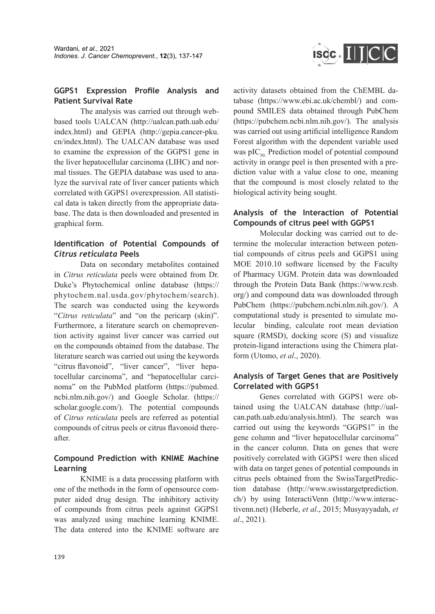

# **GGPS1 Expression Profile Analysis and Patient Survival Rate**

The analysis was carried out through webbased tools UALCAN (http://ualcan.path.uab.edu/ index.html) and GEPIA (http://gepia.cancer-pku. cn/index.html). The UALCAN database was used to examine the expression of the GGPS1 gene in the liver hepatocellular carcinoma (LIHC) and normal tissues. The GEPIA database was used to analyze the survival rate of liver cancer patients which correlated with GGPS1 overexpression. All statistical data is taken directly from the appropriate database. The data is then downloaded and presented in graphical form.

# **Identification of Potential Compounds of**  *Citrus reticulata* **Peels**

Data on secondary metabolites contained in *Citrus reticulata* peels were obtained from Dr. Duke's Phytochemical online database (https:// phytochem.nal.usda.gov/phytochem/search). The search was conducted using the keywords "*Citrus reticulata*" and "on the pericarp (skin)". Furthermore, a literature search on chemoprevention activity against liver cancer was carried out on the compounds obtained from the database. The literature search was carried out using the keywords "citrus flavonoid", "liver cancer", "liver hepatocellular carcinoma", and "hepatocellular carcinoma" on the PubMed platform (https://pubmed. ncbi.nlm.nih.gov/) and Google Scholar. (https:// scholar.google.com/). The potential compounds of *Citrus reticulata* peels are referred as potential compounds of citrus peels or citrus flavonoid thereafter.

# **Compound Prediction with KNIME Machine Learning**

KNIME is a data processing platform with one of the methods in the form of opensource computer aided drug design. The inhibitory activity of compounds from citrus peels against GGPS1 was analyzed using machine learning KNIME. The data entered into the KNIME software are activity datasets obtained from the ChEMBL database (https://www.ebi.ac.uk/chembl/) and compound SMILES data obtained through PubChem (https://pubchem.ncbi.nlm.nih.gov/). The analysis was carried out using artificial intelligence Random Forest algorithm with the dependent variable used was  $pIC_{50}$  Prediction model of potential compound activity in orange peel is then presented with a prediction value with a value close to one, meaning that the compound is most closely related to the biological activity being sought.

## **Analysis of the Interaction of Potential Compounds of citrus peel with GGPS1**

Molecular docking was carried out to determine the molecular interaction between potential compounds of citrus peels and GGPS1 using MOE 2010.10 software licensed by the Faculty of Pharmacy UGM. Protein data was downloaded through the Protein Data Bank (https://www.rcsb. org/) and compound data was downloaded through PubChem (https://pubchem.ncbi.nlm.nih.gov/). A computational study is presented to simulate molecular binding, calculate root mean deviation square (RMSD), docking score (S) and visualize protein-ligand interactions using the Chimera platform (Utomo, *et al*., 2020).

# **Analysis of Target Genes that are Positively Correlated with GGPS1**

Genes correlated with GGPS1 were obtained using the UALCAN database (http://ualcan.path.uab.edu/analysis.html). The search was carried out using the keywords "GGPS1" in the gene column and "liver hepatocellular carcinoma" in the cancer column. Data on genes that were positively correlated with GGPS1 were then sliced with data on target genes of potential compounds in citrus peels obtained from the SwissTargetPrediction database (http://www.swisstargetprediction. ch/) by using InteractiVenn (http://www.interactivenn.net) (Heberle, *et al*., 2015; Musyayyadah, *et al*., 2021).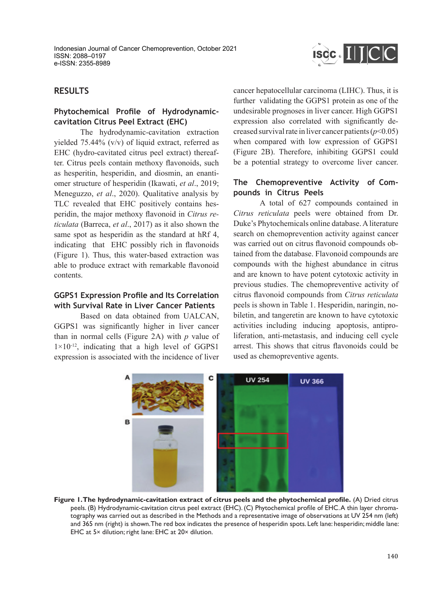

# **RESULTS**

## **Phytochemical Profile of Hydrodynamiccavitation Citrus Peel Extract (EHC)**

The hydrodynamic-cavitation extraction yielded 75.44% (v/v) of liquid extract, referred as EHC (hydro-cavitated citrus peel extract) thereafter. Citrus peels contain methoxy flavonoids, such as hesperitin, hesperidin, and diosmin, an enantiomer structure of hesperidin (Ikawati, *et al*., 2019; Meneguzzo, *et al*., 2020). Qualitative analysis by TLC revealed that EHC positively contains hesperidin, the major methoxy flavonoid in *Citrus reticulata* (Barreca, *et al*., 2017) as it also shown the same spot as hesperidin as the standard at hRf 4, indicating that EHC possibly rich in flavonoids (Figure 1). Thus, this water-based extraction was able to produce extract with remarkable flavonoid contents.

# **GGPS1 Expression Profile and Its Correlation with Survival Rate in Liver Cancer Patients**

Based on data obtained from UALCAN, GGPS1 was significantly higher in liver cancer than in normal cells (Figure 2A) with *p* value of  $1\times10^{-12}$ , indicating that a high level of GGPS1 expression is associated with the incidence of liver cancer hepatocellular carcinoma (LIHC). Thus, it is further validating the GGPS1 protein as one of the undesirable prognoses in liver cancer. High GGPS1 expression also correlated with significantly decreased survival rate in liver cancer patients (*p*<0.05) when compared with low expression of GGPS1 (Figure 2B). Therefore, inhibiting GGPS1 could be a potential strategy to overcome liver cancer.

#### **The Chemopreventive Activity of Compounds in Citrus Peels**

A total of 627 compounds contained in *Citrus reticulata* peels were obtained from Dr. Duke's Phytochemicals online database. A literature search on chemoprevention activity against cancer was carried out on citrus flavonoid compounds obtained from the database. Flavonoid compounds are compounds with the highest abundance in citrus and are known to have potent cytotoxic activity in previous studies. The chemopreventive activity of citrus flavonoid compounds from *Citrus reticulata*  peels is shown in Table 1. Hesperidin, naringin, nobiletin, and tangeretin are known to have cytotoxic activities including inducing apoptosis, antiproliferation, anti-metastasis, and inducing cell cycle arrest. This shows that citrus flavonoids could be used as chemopreventive agents.



**Figure 1. The hydrodynamic-cavitation extract of citrus peels and the phytochemical profile.** (A) Dried citrus peels. (B) Hydrodynamic-cavitation citrus peel extract (EHC). (C) Phytochemical profile of EHC. A thin layer chromatography was carried out as described in the Methods and a representative image of observations at UV 254 nm (left) and 365 nm (right) is shown. The red box indicates the presence of hesperidin spots. Left lane: hesperidin; middle lane: EHC at 5× dilution; right lane: EHC at 20× dilution.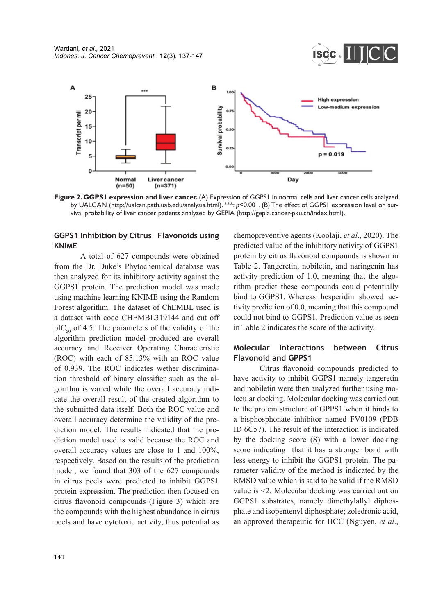



Figure 2. GGPS1 expression and liver cancer. (A) Expression of GGPS1 in normal cells and liver cancer cells analyzed by UALCAN (http://ualcan.path.uab.edu/analysis.html). \*\*\*: *p*<0.001. (B) The effect of GGPS1 expression level on survival probability of liver cancer patients analyzed by GEPIA (http://gepia.cancer-pku.cn/index.html).

### **GGPS1 Inhibition by Citrus Flavonoids using KNIME**

A total of 627 compounds were obtained from the Dr. Duke's Phytochemical database was then analyzed for its inhibitory activity against the GGPS1 protein. The prediction model was made using machine learning KNIME using the Random Forest algorithm. The dataset of ChEMBL used is a dataset with code CHEMBL319144 and cut off  $pIC_{50}$  of 4.5. The parameters of the validity of the algorithm prediction model produced are overall accuracy and Receiver Operating Characteristic (ROC) with each of 85.13% with an ROC value of 0.939. The ROC indicates wether discrimination threshold of binary classifier such as the algorithm is varied while the overall accuracy indicate the overall result of the created algorithm to the submitted data itself. Both the ROC value and overall accuracy determine the validity of the prediction model. The results indicated that the prediction model used is valid because the ROC and overall accuracy values are close to 1 and 100%, respectively. Based on the results of the prediction model, we found that 303 of the 627 compounds in citrus peels were predicted to inhibit GGPS1 protein expression. The prediction then focused on citrus flavonoid compounds (Figure 3) which are the compounds with the highest abundance in citrus peels and have cytotoxic activity, thus potential as chemopreventive agents (Koolaji, *et al*., 2020). The predicted value of the inhibitory activity of GGPS1 protein by citrus flavonoid compounds is shown in Table 2. Tangeretin, nobiletin, and naringenin has activity prediction of 1.0, meaning that the algorithm predict these compounds could potentially bind to GGPS1. Whereas hesperidin showed activity prediction of 0.0, meaning that this compound could not bind to GGPS1. Prediction value as seen in Table 2 indicates the score of the activity.

# **Molecular Interactions between Citrus Flavonoid and GPPS1**

Citrus flavonoid compounds predicted to have activity to inhibit GGPS1 namely tangeretin and nobiletin were then analyzed further using molecular docking. Molecular docking was carried out to the protein structure of GPPS1 when it binds to a bisphosphonate inhibitor named FV0109 (PDB ID 6C57). The result of the interaction is indicated by the docking score (S) with a lower docking score indicating that it has a stronger bond with less energy to inhibit the GGPS1 protein. The parameter validity of the method is indicated by the RMSD value which is said to be valid if the RMSD value is <2. Molecular docking was carried out on GGPS1 substrates, namely dimethylallyl diphosphate and isopentenyl diphosphate; zoledronic acid, an approved therapeutic for HCC (Nguyen, *et al*.,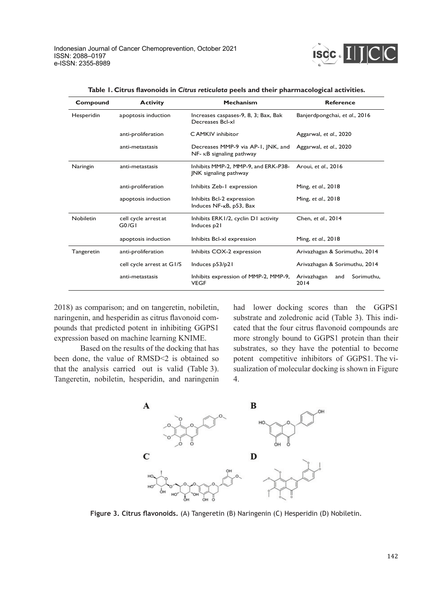

| Compound   | <b>Activity</b>              | <b>Mechanism</b>                                                        | <b>Reference</b>                         |
|------------|------------------------------|-------------------------------------------------------------------------|------------------------------------------|
| Hesperidin | apoptosis induction          | Increases caspases-9, 8, 3; Bax, Bak<br>Decreases Bcl-xl                | Banjerdpongchai, et al., 2016            |
|            | anti-proliferation           | C AMKIV inhibitor                                                       | Aggarwal, et al., 2020                   |
|            | anti-metastasis              | Decreases MMP-9 via AP-1, INK, and<br>$NF - \kappa B$ signaling pathway | Aggarwal, et al., 2020                   |
| Naringin   | anti-metastasis              | Inhibits MMP-2, MMP-9, and ERK-P38-<br><b>INK</b> signaling pathway     | Aroui, et al., 2016                      |
|            | anti-proliferation           | Inhibits Zeb-1 expression                                               | Ming, et al., 2018                       |
|            | apoptosis induction          | Inhibits Bcl-2 expression<br>Induces NF- <sub>K</sub> B, p53, Bax       | Ming, et al., 2018                       |
| Nobiletin  | cell cycle arrestat<br>G0/GI | Inhibits ERK1/2, cyclin D1 activity<br>Induces p21                      | Chen, et al., 2014                       |
|            | apoptosis induction          | Inhibits Bcl-xl expression                                              | Ming, et al., 2018                       |
| Tangeretin | anti-proliferation           | Inhibits COX-2 expression                                               | Arivazhagan & Sorimuthu, 2014            |
|            | cell cycle arrest at G1/S    | Induces p53/p21                                                         | Arivazhagan & Sorimuthu, 2014            |
|            | anti-metastasis              | Inhibits expression of MMP-2, MMP-9,<br><b>VEGF</b>                     | Sorimuthu,<br>Arivazhagan<br>and<br>2014 |

**Table 1. Citrus flavonoids in** *Citrus reticulata* **peels and their pharmacological activities.**

2018) as comparison; and on tangeretin, nobiletin, naringenin, and hesperidin as citrus flavonoid compounds that predicted potent in inhibiting GGPS1 expression based on machine learning KNIME.

Based on the results of the docking that has been done, the value of RMSD<2 is obtained so that the analysis carried out is valid (Table 3). Tangeretin, nobiletin, hesperidin, and naringenin had lower docking scores than the GGPS1 substrate and zoledronic acid (Table 3). This indicated that the four citrus flavonoid compounds are more strongly bound to GGPS1 protein than their substrates, so they have the potential to become potent competitive inhibitors of GGPS1. The visualization of molecular docking is shown in Figure 4.



**Figure 3. Citrus flavonoids.** (A) Tangeretin (B) Naringenin (C) Hesperidin (D) Nobiletin.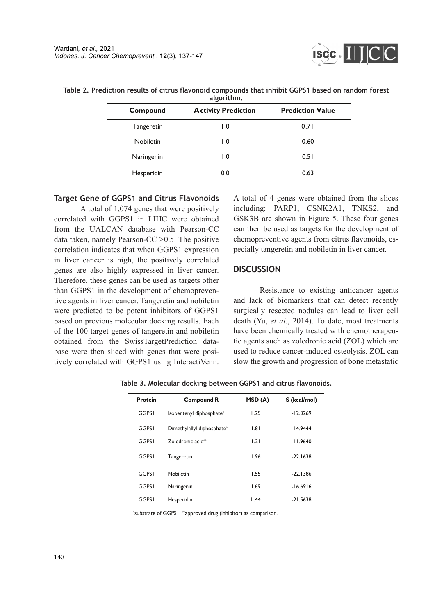

| Compound   | <b>Activity Prediction</b> | <b>Prediction Value</b> |
|------------|----------------------------|-------------------------|
| Tangeretin | $\overline{1.0}$           | 0.71                    |
| Nobiletin  | 1.0                        | 0.60                    |
| Naringenin | 0. ا                       | 0.51                    |
| Hesperidin | 0.0                        | 0.63                    |

**Table 2. Prediction results of citrus flavonoid compounds that inhibit GGPS1 based on random forest algorithm.**

#### **Target Gene of GGPS1 and Citrus Flavonoids**

A total of 1,074 genes that were positively correlated with GGPS1 in LIHC were obtained from the UALCAN database with Pearson-CC data taken, namely Pearson-CC >0.5. The positive correlation indicates that when GGPS1 expression in liver cancer is high, the positively correlated genes are also highly expressed in liver cancer. Therefore, these genes can be used as targets other than GGPS1 in the development of chemopreventive agents in liver cancer. Tangeretin and nobiletin were predicted to be potent inhibitors of GGPS1 based on previous molecular docking results. Each of the 100 target genes of tangeretin and nobiletin obtained from the SwissTargetPrediction database were then sliced with genes that were positively correlated with GGPS1 using InteractiVenn. A total of 4 genes were obtained from the slices including: PARP1, CSNK2A1, TNKS2, and GSK3B are shown in Figure 5. These four genes can then be used as targets for the development of chemopreventive agents from citrus flavonoids, especially tangeretin and nobiletin in liver cancer.

#### **DISCUSSION**

Resistance to existing anticancer agents and lack of biomarkers that can detect recently surgically resected nodules can lead to liver cell death (Yu, *et al*., 2014). To date, most treatments have been chemically treated with chemotherapeutic agents such as zoledronic acid (ZOL) which are used to reduce cancer-induced osteolysis. ZOL can slow the growth and progression of bone metastatic

| Protein      | <b>Compound R</b>             | MSD (Å)           | S (kcal/mol) |
|--------------|-------------------------------|-------------------|--------------|
| <b>GGPSI</b> | Isopentenyl diphosphate*      | 1.25              | $-12.3269$   |
| <b>GGPSI</b> | Dimethylallyl diphosphate*    | 1.81              | $-14.9444$   |
| <b>GGPSI</b> | Zoledronic acid <sup>**</sup> | 1.21              | $-11.9640$   |
| <b>GGPSI</b> | Tangeretin                    | 1.96              | $-22.1638$   |
| <b>GGPSI</b> | Nobiletin                     | 1.55              | $-22.1386$   |
| <b>GGPSI</b> | Naringenin                    | 1.69              | $-16.6916$   |
| <b>GGPSI</b> | Hesperidin                    | $\overline{1.44}$ | $-21.5638$   |

**Table 3. Molecular docking between GGPS1 and citrus flavonoids.**

\*substrate of GGPS1; \*\*approved drug (inhibitor) as comparison.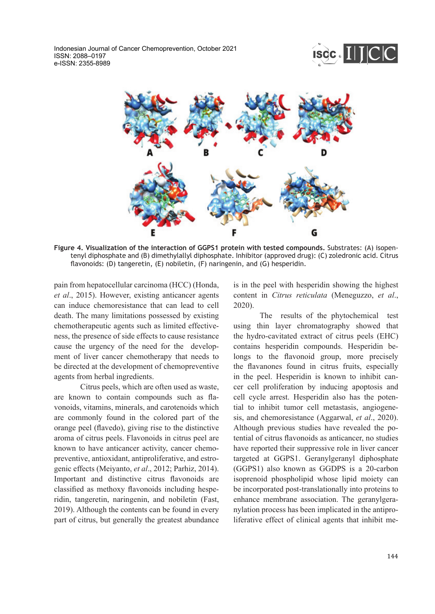Indonesian Journal of Cancer Chemoprevention, October 2021 ISSN: 2088–0197 e-ISSN: 2355-8989





**Figure 4. Visualization of the interaction of GGPS1 protein with tested compounds.** Substrates: (A) isopentenyl diphosphate and (B) dimethylallyl diphosphate. Inhibitor (approved drug): (C) zoledronic acid. Citrus flavonoids: (D) tangeretin, (E) nobiletin, (F) naringenin, and (G) hesperidin.

pain from hepatocellular carcinoma (HCC) (Honda, *et al*., 2015). However, existing anticancer agents can induce chemoresistance that can lead to cell death. The many limitations possessed by existing chemotherapeutic agents such as limited effectiveness, the presence of side effects to cause resistance cause the urgency of the need for the development of liver cancer chemotherapy that needs to be directed at the development of chemopreventive agents from herbal ingredients.

Citrus peels, which are often used as waste, are known to contain compounds such as flavonoids, vitamins, minerals, and carotenoids which are commonly found in the colored part of the orange peel (flavedo), giving rise to the distinctive aroma of citrus peels. Flavonoids in citrus peel are known to have anticancer activity, cancer chemopreventive, antioxidant, antiproliferative, and estrogenic effects (Meiyanto, *et al*., 2012; Parhiz, 2014). Important and distinctive citrus flavonoids are classified as methoxy flavonoids including hesperidin, tangeretin, naringenin, and nobiletin (Fast, 2019). Although the contents can be found in every part of citrus, but generally the greatest abundance is in the peel with hesperidin showing the highest content in *Citrus reticulata* (Meneguzzo, *et al*., 2020).

The results of the phytochemical test using thin layer chromatography showed that the hydro-cavitated extract of citrus peels (EHC) contains hesperidin compounds. Hesperidin belongs to the flavonoid group, more precisely the flavanones found in citrus fruits, especially in the peel. Hesperidin is known to inhibit cancer cell proliferation by inducing apoptosis and cell cycle arrest. Hesperidin also has the potential to inhibit tumor cell metastasis, angiogenesis, and chemoresistance (Aggarwal, *et al*., 2020). Although previous studies have revealed the potential of citrus flavonoids as anticancer, no studies have reported their suppressive role in liver cancer targeted at GGPS1. Geranylgeranyl diphosphate (GGPS1) also known as GGDPS is a 20-carbon isoprenoid phospholipid whose lipid moiety can be incorporated post-translationally into proteins to enhance membrane association. The geranylgeranylation process has been implicated in the antiproliferative effect of clinical agents that inhibit me-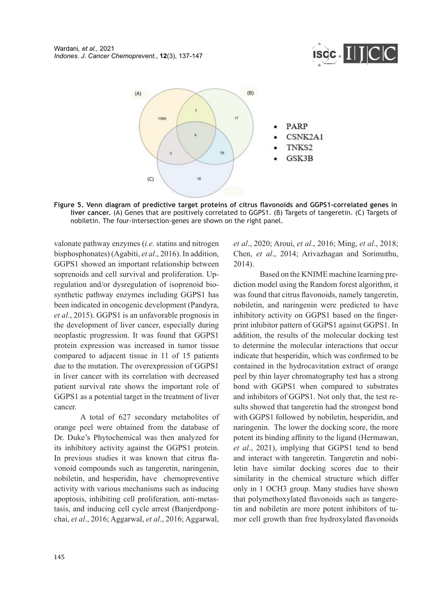



**Figure 5. Venn diagram of predictive target proteins of citrus flavonoids and GGPS1-correlated genes in liver cancer.** (A) Genes that are positively correlated to GGPS1. (B) Targets of tangeretin. (C) Targets of nobiletin. The four-intersection-genes are shown on the right panel.

valonate pathway enzymes (*i.e.* statins and nitrogen bisphosphonates) (Agabiti, *et al*., 2016). In addition, GGPS1 showed an important relationship between soprenoids and cell survival and proliferation. Upregulation and/or dysregulation of isoprenoid biosynthetic pathway enzymes including GGPS1 has been indicated in oncogenic development (Pandyra, *et al*., 2015). GGPS1 is an unfavorable prognosis in the development of liver cancer, especially during neoplastic progression. It was found that GGPS1 protein expression was increased in tumor tissue compared to adjacent tissue in 11 of 15 patients due to the mutation. The overexpression of GGPS1 in liver cancer with its correlation with decreased patient survival rate shows the important role of GGPS1 as a potential target in the treatment of liver cancer.

A total of 627 secondary metabolites of orange peel were obtained from the database of Dr. Duke's Phytochemical was then analyzed for its inhibitory activity against the GGPS1 protein. In previous studies it was known that citrus flavonoid compounds such as tangeretin, naringenin, nobiletin, and hesperidin, have chemopreventive activity with various mechanisms such as inducing apoptosis, inhibiting cell proliferation, anti-metastasis, and inducing cell cycle arrest (Banjerdpongchai, *et al*., 2016; Aggarwal, *et al*., 2016; Aggarwal, *et al*., 2020; Aroui, *et al*., 2016; Ming, *et al*., 2018; Chen, *et al*., 2014; Arivazhagan and Sorimuthu, 2014).

Based on the KNIME machine learning prediction model using the Random forest algorithm, it was found that citrus flavonoids, namely tangeretin, nobiletin, and naringenin were predicted to have inhibitory activity on GGPS1 based on the fingerprint inhibitor pattern of GGPS1 against GGPS1. In addition, the results of the molecular docking test to determine the molecular interactions that occur indicate that hesperidin, which was confirmed to be contained in the hydrocavitation extract of orange peel by thin layer chromatography test has a strong bond with GGPS1 when compared to substrates and inhibitors of GGPS1. Not only that, the test results showed that tangeretin had the strongest bond with GGPS1 followed by nobiletin, hesperidin, and naringenin. The lower the docking score, the more potent its binding affinity to the ligand (Hermawan, *et al*., 2021), implying that GGPS1 tend to bend and interact with tangeretin. Tangeretin and nobiletin have similar docking scores due to their similarity in the chemical structure which differ only in 1 OCH3 group. Many studies have shown that polymethoxylated flavonoids such as tangeretin and nobiletin are more potent inhibitors of tumor cell growth than free hydroxylated flavonoids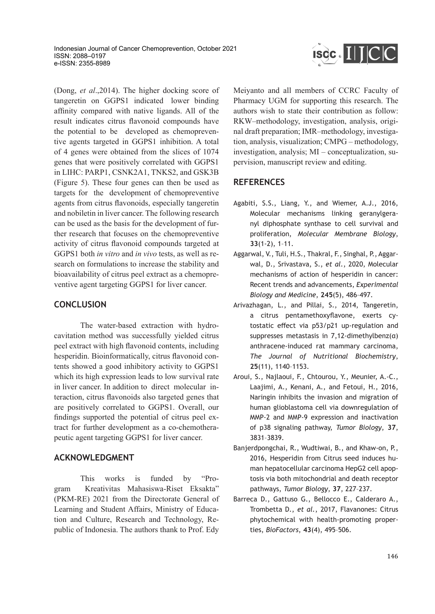

(Dong, *et al*.,2014). The higher docking score of tangeretin on GGPS1 indicated lower binding affinity compared with native ligands. All of the result indicates citrus flavonoid compounds have the potential to be developed as chemopreventive agents targeted in GGPS1 inhibition. A total of 4 genes were obtained from the slices of 1074 genes that were positively correlated with GGPS1 in LIHC: PARP1, CSNK2A1, TNKS2, and GSK3B (Figure 5). These four genes can then be used as targets for the development of chemopreventive agents from citrus flavonoids, especially tangeretin and nobiletin in liver cancer. The following research can be used as the basis for the development of further research that focuses on the chemopreventive activity of citrus flavonoid compounds targeted at GGPS1 both *in vitro* and *in vivo* tests, as well as research on formulations to increase the stability and bioavailability of citrus peel extract as a chemopreventive agent targeting GGPS1 for liver cancer.

# **CONCLUSION**

The water-based extraction with hydrocavitation method was successfully yielded citrus peel extract with high flavonoid contents, including hesperidin. Bioinformatically, citrus flavonoid contents showed a good inhibitory activity to GGPS1 which its high expression leads to low survival rate in liver cancer. In addition to direct molecular interaction, citrus flavonoids also targeted genes that are positively correlated to GGPS1. Overall, our findings supported the potential of citrus peel extract for further development as a co-chemotherapeutic agent targeting GGPS1 for liver cancer.

# **ACKNOWLEDGMENT**

This works is funded by "Program Kreativitas Mahasiswa-Riset Eksakta" (PKM-RE) 2021 from the Directorate General of Learning and Student Affairs, Ministry of Education and Culture, Research and Technology, Republic of Indonesia. The authors thank to Prof. Edy Meiyanto and all members of CCRC Faculty of Pharmacy UGM for supporting this research. The authors wish to state their contribution as follow: RKW–methodology, investigation, analysis, original draft preparation; IMR–methodology, investigation, analysis, visualization; CMPG – methodology, investigation, analysis; MI – conceptualization, supervision, manuscript review and editing.

# **REFERENCES**

- Agabiti, S.S., Liang, Y., and Wiemer, A.J., 2016, Molecular mechanisms linking geranylgeranyl diphosphate synthase to cell survival and proliferation, *Molecular Membrane Biology*, **33**(1-2), 1–11.
- Aggarwal, V., Tuli, H.S., Thakral, F., Singhal, P., Aggarwal, D., Srivastava, S., *et al.*, 2020, Molecular mechanisms of action of hesperidin in cancer: Recent trends and advancements, *Experimental Biology and Medicine*, **245**(5), 486–497.
- Arivazhagan, L., and Pillai, S., 2014, Tangeretin, a citrus pentamethoxyflavone, exerts cytostatic effect via p53/p21 up-regulation and suppresses metastasis in 7,12-dimethylbenz(α) anthracene-induced rat mammary carcinoma, *The Journal of Nutritional Biochemistry*, **25**(11), 1140–1153.
- Aroui, S., Najlaoui, F., Chtourou, Y., Meunier, A.-C., Laajimi, A., Kenani, A., and Fetoui, H., 2016, Naringin inhibits the invasion and migration of human glioblastoma cell via downregulation of MMP-2 and MMP-9 expression and inactivation of p38 signaling pathway, *Tumor Biology*, **37**, 3831–3839.
- Banjerdpongchai, R., Wudtiwai, B., and Khaw-on, P., 2016, Hesperidin from Citrus seed induces human hepatocellular carcinoma HepG2 cell apoptosis via both mitochondrial and death receptor pathways, *Tumor Biology*, **37**, 227–237.
- Barreca D., Gattuso G., Bellocco E., Calderaro A., Trombetta D., *et al.*, 2017, Flavanones: Citrus phytochemical with health-promoting properties, *BioFactors*, **43**(4), 495–506.